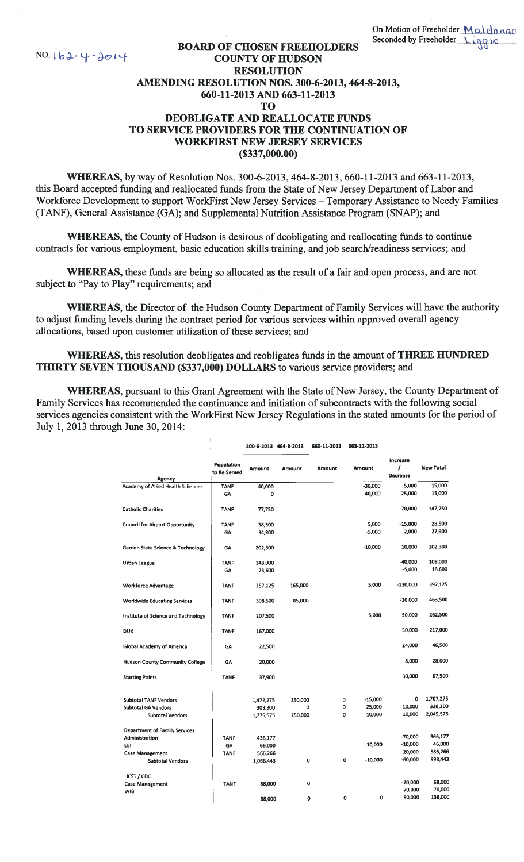## BOARD OF CHOSEN FREEHOLDERS<br>COUNTY OF HUDSON NO. 162. 4. 2014<br>BOARD OF CHOSEN FREEHO<br>RESOLUTION RESOLUTION AMENDING RESOLUTION NOS. 300-6-2013, 464-8-2013, 660-11-2013 AND 663-11-2013 TO DEOBLIGATE AND REALLOCATE FUNDS TO SERVICE PROVIDERS FOR THE CONTINUATION OF WORKFIRST NEW JERSEY SERVICES (\$337,000.00)

WHEREAS, by way of Resolution Nos. 300-6-2013, 464-8-2013, 660-11-2013 and 663-1 1-2013, this Board accepted funding and reallocated funds from the State of New Jersey Department of Labor and Workforce Development to support WorkFirst New Jersey Services — Temporary Assistance to Needy Families (TANF), General Assistance (GA); and Supplemental Nutrition Assistance Program (SNAP); and

WHEREAS, the County of Hudson is desirous of deobligating and reallocating funds to continue contracts for various employment, basic education skills training, and job search/readiness services; and

WHEREAS, these funds are being so allocated as the result of a fair and open process, and are not subject to "Pay to Play" requirements; and

WHEREAS, the Director of the Hudson County Department of Family Services will have the authority to adjust funding levels during the contract period for various services within approved overall agency allocations, based upon customer utilization of these services; and

WHEREAS, this resolution deobligates and reobligates funds in the amount of THREE HUNDRED THIRTY SEVEN THOUSAND (\$337,000) DOLLARS to various service providers; and

WHEREAS, pursuant to this Grant Agreement with the State of New Jersey, the County Department of Family Services has recommended the continuance and initiation of subcontracts with the following social services agencies consistent with the WorkFirst New Jersey Regulations in the stated amounts for the period of July 1, 2013 through June 30, 2014:

|                                           |                            | 300-6-2013 464-8-2013 |         | 660-11-2013 | 663-11-2013    |                                  |                  |
|-------------------------------------------|----------------------------|-----------------------|---------|-------------|----------------|----------------------------------|------------------|
| <b>Agency</b>                             | Population<br>to Be Served | <b>Amount</b>         | Amount  | Amount      | Amount         | Increase<br>1<br><b>Decrease</b> | <b>New Total</b> |
| <b>Academy of Allied Health Sciiences</b> | <b>TANF</b>                | 40,000                |         |             | $-30,000$      | 5,000                            | 15,000           |
|                                           | GA                         | 0                     |         |             | 40,000         | $-25,000$                        | 15,000           |
| <b>Catholic Charities</b>                 | <b>TANF</b>                | 77,750                |         |             |                | 70,000                           | 147,750          |
| <b>Council for Airport Opportunity</b>    | <b>TANF</b>                | 38,500                |         |             | 5,000          | $-15,000$                        | 28,500           |
|                                           | GA                         | 34,900                |         |             | $-5,000$       | $-2,000$                         | 27,900           |
| Garden State Science & Technology         | GA                         | 202,300               |         |             | $-10,000$      | 10,000                           | 202,300          |
| Urban League                              | <b>TANF</b>                | 148,000               |         |             |                | $-40,000$                        | 108,000          |
|                                           | GA                         | 23,600                |         |             |                | $-5,000$                         | 18,600           |
| <b>Workforce Advantage</b>                | <b>TANF</b>                | 357,125               | 165,000 |             | 5,000          | -130,000                         | 397,125          |
| <b>Worldwide Educating Services</b>       | <b>TANF</b>                | 398,500               | 85,000  |             |                | $-20,000$                        | 463,500          |
| Institute of Science and Technology       | <b>TANF</b>                | 207,500               |         |             | 5,000          | 50,000                           | 262,500          |
| <b>DUX</b>                                | <b>TANF</b>                | 167,000               |         |             |                | 50,000                           | 217,000          |
| Global Academy of America                 | GA                         | 22,500                |         |             |                | 24,000                           | 46,500           |
| <b>Hudson County Community College</b>    | GA                         | 20,000                |         |             |                | 8,000                            | 28,000           |
| <b>Starting Points</b>                    | <b>TANF</b>                | 37,900                |         |             |                | 30,000                           | 67,900           |
| <b>Subtotal TANF Vendors</b>              |                            | 1,472,275             | 250,000 |             | 0<br>$-15,000$ | 0                                | 1,707,275        |
| <b>Subtotal GA Vendors</b>                |                            | 303,300               | 0       |             | 25,000<br>0    | 10,000                           | 338,300          |
| <b>Subtotal Vendors</b>                   |                            | 1,775,575             | 250,000 |             | 10,000<br>0    | 10,000                           | 2,045,575        |
| <b>Department of Family Services</b>      |                            |                       |         |             |                |                                  |                  |
| Administration                            | <b>TANF</b>                | 436,177               |         |             |                | $-70,000$                        | 366,177          |
| EE)                                       | GA                         | 66,000                |         |             | $-10,000$      | $-10,000$                        | 46,000           |
| <b>Case Management</b>                    | <b>TANF</b>                | 566,266               |         |             |                | 20,000                           | 586,266          |
| <b>Subtotal Vendors</b>                   |                            | 1,068,443             | 0       |             | $-10,000$<br>0 | $-60,000$                        | 998,443          |
| HCST / CDC                                |                            |                       |         |             |                |                                  |                  |
| <b>Case Management</b>                    | <b>TANF</b>                | 88,000                | 0       |             |                | $-20,000$                        | 68,000           |
| <b>WIB</b>                                |                            |                       |         |             |                | 70,000                           | 70,000           |
|                                           |                            | 88,000                | 0       |             | 0<br>0         | 50,000                           | 138,000          |